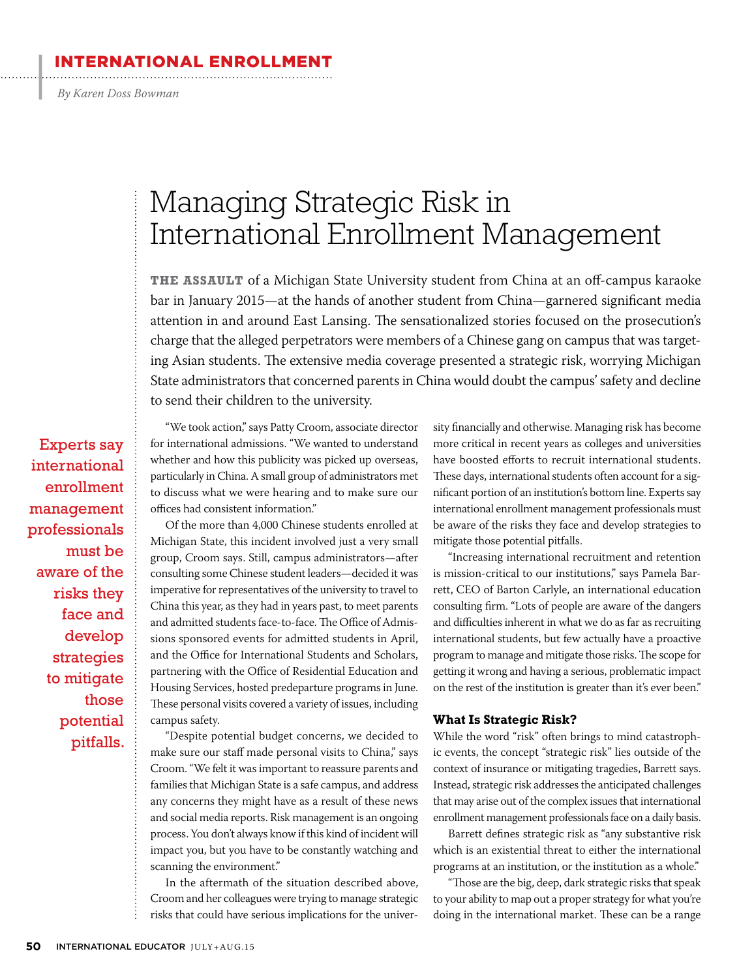#### IATIONAL ENROLLMENT

*By Karen Doss Bowman*

 $\cdot$ 

## Managing Strategic Risk in International Enrollment Management

**THE ASSAULT** of a Michigan State University student from China at an off-campus karaoke bar in January 2015—at the hands of another student from China—garnered significant media attention in and around East Lansing. The sensationalized stories focused on the prosecution's charge that the alleged perpetrators were members of a Chinese gang on campus that was targeting Asian students. The extensive media coverage presented a strategic risk, worrying Michigan State administrators that concerned parents in China would doubt the campus' safety and decline to send their children to the university.

Experts say international enrollment management professionals must be aware of the risks they face and develop strategies to mitigate those potential pitfalls.

"We took action," says Patty Croom, associate director for international admissions. "We wanted to understand whether and how this publicity was picked up overseas, particularly in China. A small group of administrators met to discuss what we were hearing and to make sure our offices had consistent information."

Of the more than 4,000 Chinese students enrolled at Michigan State, this incident involved just a very small group, Croom says. Still, campus administrators—after consulting some Chinese student leaders—decided it was imperative for representatives of the university to travel to China this year, as they had in years past, to meet parents and admitted students face-to-face. The Office of Admissions sponsored events for admitted students in April, and the Office for International Students and Scholars, partnering with the Office of Residential Education and Housing Services, hosted predeparture programs in June. These personal visits covered a variety of issues, including campus safety.

"Despite potential budget concerns, we decided to make sure our staff made personal visits to China," says Croom. "We felt it was important to reassure parents and families that Michigan State is a safe campus, and address any concerns they might have as a result of these news and social media reports. Risk management is an ongoing process. You don't always know if this kind of incident will impact you, but you have to be constantly watching and scanning the environment."

In the aftermath of the situation described above, Croom and her colleagues were trying to manage strategic risks that could have serious implications for the university financially and otherwise. Managing risk has become more critical in recent years as colleges and universities have boosted efforts to recruit international students. These days, international students often account for a significant portion of an institution's bottom line. Experts say international enrollment management professionals must be aware of the risks they face and develop strategies to mitigate those potential pitfalls.

"Increasing international recruitment and retention is mission-critical to our institutions," says Pamela Barrett, CEO of Barton Carlyle, an international education consulting firm. "Lots of people are aware of the dangers and difficulties inherent in what we do as far as recruiting international students, but few actually have a proactive program to manage and mitigate those risks. The scope for getting it wrong and having a serious, problematic impact on the rest of the institution is greater than it's ever been."

#### **What Is Strategic Risk?**

While the word "risk" often brings to mind catastrophic events, the concept "strategic risk" lies outside of the context of insurance or mitigating tragedies, Barrett says. Instead, strategic risk addresses the anticipated challenges that may arise out of the complex issues that international enrollment management professionals face on a daily basis.

Barrett defines strategic risk as "any substantive risk which is an existential threat to either the international programs at an institution, or the institution as a whole."

"Those are the big, deep, dark strategic risks that speak to your ability to map out a proper strategy for what you're doing in the international market. These can be a range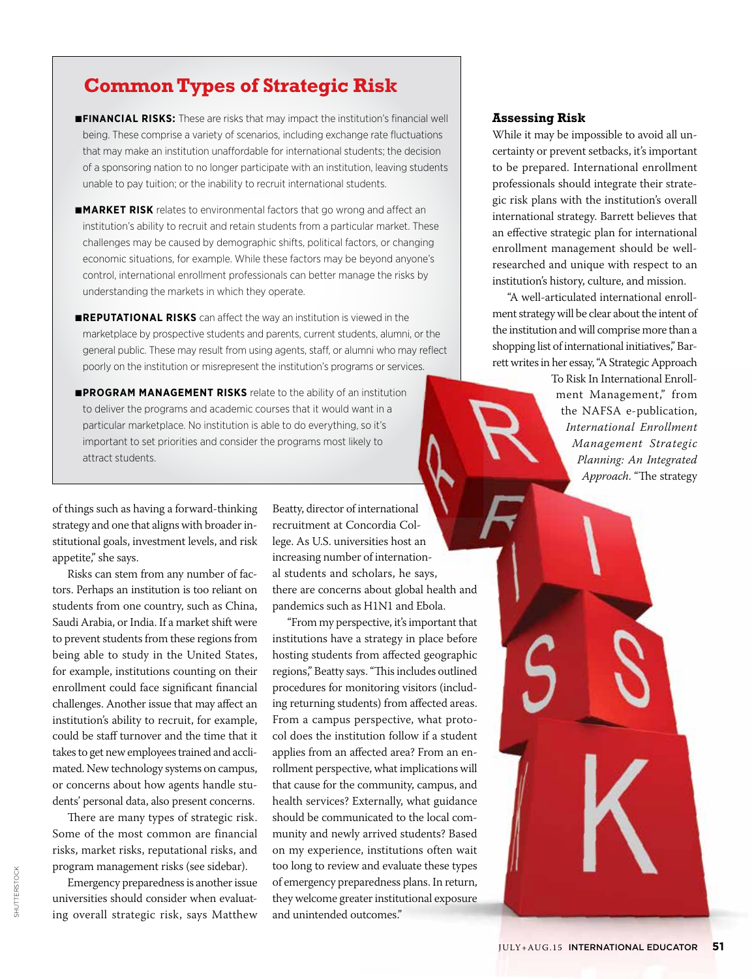### **Common Types of Strategic Risk**

- ■**FINANCIAL RISKS:** These are risks that may impact the institution's financial well being. These comprise a variety of scenarios, including exchange rate fluctuations that may make an institution unaffordable for international students; the decision of a sponsoring nation to no longer participate with an institution, leaving students unable to pay tuition; or the inability to recruit international students.
- ■**MARKET RISK** relates to environmental factors that go wrong and affect an institution's ability to recruit and retain students from a particular market. These challenges may be caused by demographic shifts, political factors, or changing economic situations, for example. While these factors may be beyond anyone's control, international enrollment professionals can better manage the risks by understanding the markets in which they operate.
- ■**REPUTATIONAL RISKS** can affect the way an institution is viewed in the marketplace by prospective students and parents, current students, alumni, or the general public. These may result from using agents, staff, or alumni who may reflect poorly on the institution or misrepresent the institution's programs or services.
- ■**PROGRAM MANAGEMENT RISKS** relate to the ability of an institution to deliver the programs and academic courses that it would want in a particular marketplace. No institution is able to do everything, so it's important to set priorities and consider the programs most likely to attract students.

of things such as having a forward-thinking strategy and one that aligns with broader institutional goals, investment levels, and risk appetite," she says.

Risks can stem from any number of factors. Perhaps an institution is too reliant on students from one country, such as China, Saudi Arabia, or India. If a market shift were to prevent students from these regions from being able to study in the United States, for example, institutions counting on their enrollment could face significant financial challenges. Another issue that may affect an institution's ability to recruit, for example, could be staff turnover and the time that it takes to get new employees trained and acclimated. New technology systems on campus, or concerns about how agents handle students' personal data, also present concerns.

There are many types of strategic risk. Some of the most common are financial risks, market risks, reputational risks, and program management risks (see sidebar).

Emergency preparedness is another issue universities should consider when evaluating overall strategic risk, says Matthew Beatty, director of international recruitment at Concordia College. As U.S. universities host an increasing number of international students and scholars, he says, there are concerns about global health and pandemics such as H1N1 and Ebola.

"From my perspective, it's important that institutions have a strategy in place before hosting students from affected geographic regions," Beatty says. "This includes outlined procedures for monitoring visitors (including returning students) from affected areas. From a campus perspective, what protocol does the institution follow if a student applies from an affected area? From an enrollment perspective, what implications will that cause for the community, campus, and health services? Externally, what guidance should be communicated to the local community and newly arrived students? Based on my experience, institutions often wait too long to review and evaluate these types of emergency preparedness plans. In return, they welcome greater institutional exposure and unintended outcomes."

#### **Assessing Risk**

While it may be impossible to avoid all uncertainty or prevent setbacks, it's important to be prepared. International enrollment professionals should integrate their strategic risk plans with the institution's overall international strategy. Barrett believes that an effective strategic plan for international enrollment management should be wellresearched and unique with respect to an institution's history, culture, and mission.

"A well-articulated international enrollment strategy will be clear about the intent of the institution and will comprise more than a shopping list of international initiatives," Barrett writes in her essay, "A Strategic Approach

> To Risk In International Enrollment Management," from the NAFSA e-publication, *International Enrollment Management Strategic Planning: An Integrated Approach*. "The strategy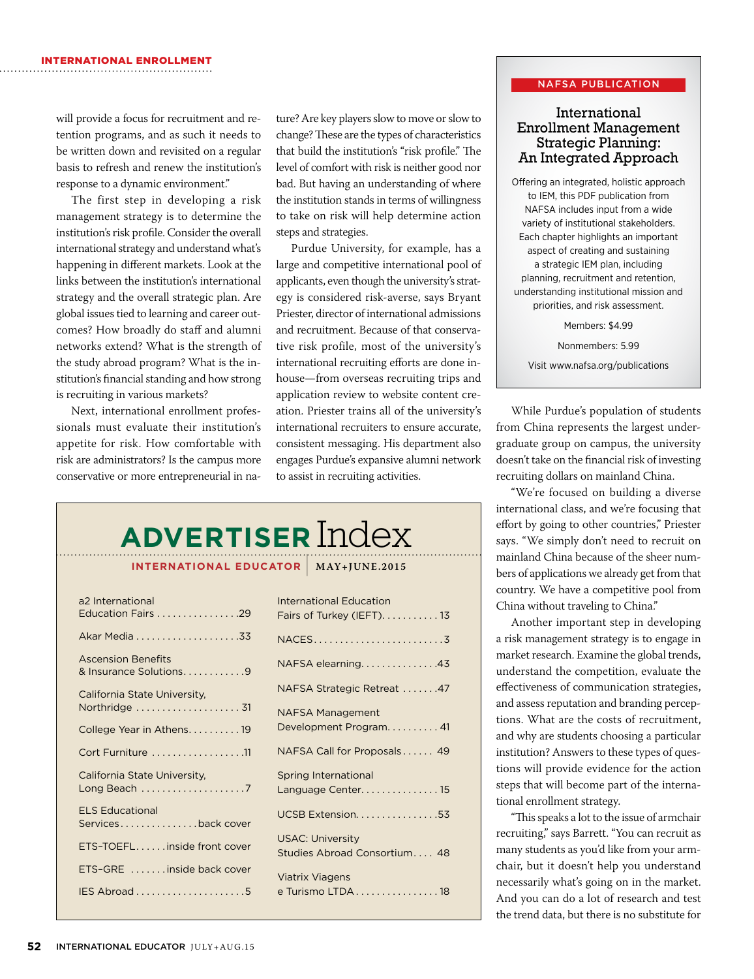will provide a focus for recruitment and retention programs, and as such it needs to be written down and revisited on a regular basis to refresh and renew the institution's response to a dynamic environment."

The first step in developing a risk management strategy is to determine the institution's risk profile. Consider the overall international strategy and understand what's happening in different markets. Look at the links between the institution's international strategy and the overall strategic plan. Are global issues tied to learning and career outcomes? How broadly do staff and alumni networks extend? What is the strength of the study abroad program? What is the institution's financial standing and how strong is recruiting in various markets?

Next, international enrollment professionals must evaluate their institution's appetite for risk. How comfortable with risk are administrators? Is the campus more conservative or more entrepreneurial in na-

ture? Are key players slow to move or slow to change? These are the types of characteristics that build the institution's "risk profile." The level of comfort with risk is neither good nor bad. But having an understanding of where the institution stands in terms of willingness to take on risk will help determine action steps and strategies.

Purdue University, for example, has a large and competitive international pool of applicants, even though the university's strategy is considered risk-averse, says Bryant Priester, director of international admissions and recruitment. Because of that conservative risk profile, most of the university's international recruiting efforts are done inhouse—from overseas recruiting trips and application review to website content creation. Priester trains all of the university's international recruiters to ensure accurate, consistent messaging. His department also engages Purdue's expansive alumni network to assist in recruiting activities.

# **ADVERTISER** Index

**INTERNATIONAL EDUCATOR** | **MAY+JUNE.2015**

| a2 International<br>Education Fairs 29                      | <b>I</b><br>F            |
|-------------------------------------------------------------|--------------------------|
|                                                             | N                        |
| <b>Ascension Benefits</b><br>& Insurance Solutions. 9       | $\mathsf{N}$             |
| California State University,                                | N                        |
| Northridge  31                                              | N                        |
| College Year in Athens19                                    | D                        |
| Cort Furniture 11                                           | N                        |
| California State University,<br>Long Beach 7                | S<br>L                   |
| <b>ELS Educational</b><br>Servicesback cover                | l                        |
| ETS-TOEFLinside front cover                                 | l<br>S                   |
| ETS-GRE inside back cover                                   | $\overline{\phantom{0}}$ |
| $IES$ Abroad $\ldots \ldots \ldots \ldots \ldots \ldots .5$ | $\epsilon$               |
|                                                             |                          |

|                | <b>International Education</b>              |
|----------------|---------------------------------------------|
| 9              | Fairs of Turkey (IEFT). 13                  |
| $\overline{3}$ |                                             |
| 9              | NAFSA elearning43                           |
|                | NAFSA Strategic Retreat 47                  |
| 31             | <b>NAFSA Management</b>                     |
| $\overline{9}$ | Development Program. 41                     |
| 11             | NAFSA Call for Proposals 49                 |
| $\overline{7}$ | Spring International<br>Language Center. 15 |
|                |                                             |
| ∍r             | UCSB Extension53                            |
| ∍r             | <b>USAC: University</b>                     |
|                | Studies Abroad Consortium 48                |
| ∍r             | <b>Viatrix Viagens</b>                      |
| 5              | e Turismo LTDA 18                           |
|                |                                             |

#### NAFSA PUBLICATION

#### International Enrollment Management Strategic Planning: An Integrated Approach

Offering an integrated, holistic approach to IEM, this PDF publication from NAFSA includes input from a wide variety of institutional stakeholders. Each chapter highlights an important aspect of creating and sustaining a strategic IEM plan, including planning, recruitment and retention, understanding institutional mission and priorities, and risk assessment.

Members: \$4.99

Nonmembers: 5.99 Visit www.nafsa.org/publications

While Purdue's population of students from China represents the largest undergraduate group on campus, the university doesn't take on the financial risk of investing recruiting dollars on mainland China.

"We're focused on building a diverse international class, and we're focusing that effort by going to other countries," Priester says. "We simply don't need to recruit on mainland China because of the sheer numbers of applications we already get from that country. We have a competitive pool from China without traveling to China."

Another important step in developing a risk management strategy is to engage in market research. Examine the global trends, understand the competition, evaluate the effectiveness of communication strategies, and assess reputation and branding perceptions. What are the costs of recruitment, and why are students choosing a particular institution? Answers to these types of questions will provide evidence for the action steps that will become part of the international enrollment strategy.

"This speaks a lot to the issue of armchair recruiting," says Barrett. "You can recruit as many students as you'd like from your armchair, but it doesn't help you understand necessarily what's going on in the market. And you can do a lot of research and test the trend data, but there is no substitute for